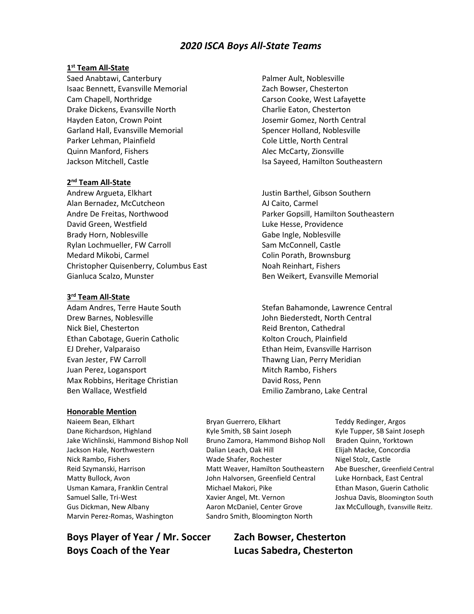# *2020 ISCA Boys All-State Teams*

### **1 st Team All-State**

Saed Anabtawi, Canterbury **Palmer Ault, Noblesville** Isaac Bennett, Evansville Memorial **Zach Bowser**, Chesterton Cam Chapell, Northridge The Carson Cooke, West Lafayette Drake Dickens, Evansville North Charlie Eaton, Chesterton Hayden Eaton, Crown Point The Matteo of the Josemir Gomez, North Central Garland Hall, Evansville Memorial Spencer Holland, Noblesville Parker Lehman, Plainfield **Cole Little, North Central** Quinn Manford, Fishers Alec McCarty, Zionsville Jackson Mitchell, Castle **Internal Southeastern** Isa Sayeed, Hamilton Southeastern

## **2 nd Team All-State**

Andrew Argueta, Elkhart Justin Barthel, Gibson Southern Alan Bernadez, McCutcheon AJ Caito, Carmel Andre De Freitas, Northwood Parker Gopsill, Hamilton Southeastern David Green, Westfield Luke Hesse, Providence Brady Horn, Noblesville Gabe Ingle, Noblesville Rylan Lochmueller, FW Carroll Sam McConnell, Castle Medard Mikobi, Carmel Colin Porath, Brownsburg Christopher Quisenberry, Columbus East Noah Reinhart, Fishers Gianluca Scalzo, Munster **Ben Weikert, Evansville Memorial** 

### **3 rd Team All-State**

Drew Barnes, Noblesville John Biederstedt, North Central Nick Biel, Chesterton **Reid Brenton, Cathedral** Ethan Cabotage, Guerin Catholic Kolton Crouch, Plainfield EJ Dreher, Valparaiso Ethan Heim, Evansville Harrison Evan Jester, FW Carroll **Thawng Lian, Perry Meridian** Juan Perez, Logansport **Mitch Rambo**, Fishers Mitch Rambo, Fishers Max Robbins, Heritage Christian **David Ross, Penn** Ben Wallace, Westfield Emilio Zambrano, Lake Central

#### **Honorable Mention**

Naieem Bean, Elkhart **Bryan Guerrero, Elkhart** Teddy Redinger, Argos Marvin Perez-Romas, Washington Sandro Smith, Bloomington North

**Boys Player of Year / Mr. Soccer Zach Bowser, Chesterton Boys Coach of the Year Lucas Sabedra, Chesterton**

Adam Andres, Terre Haute South Stefan Bahamonde, Lawrence Central

Dane Richardson, Highland Kyle Smith, SB Saint Joseph Kyle Tupper, SB Saint Joseph Jake Wichlinski, Hammond Bishop Noll Bruno Zamora, Hammond Bishop Noll Braden Quinn, Yorktown Jackson Hale, Northwestern Dalian Leach, Oak Hill Elijah Macke, Concordia Nick Rambo, Fishers **Wade Shafer, Rochester** Nigel Stolz, Castle Reid Szymanski, Harrison Matt Weaver, Hamilton Southeastern Abe Buescher, Greenfield Central Matty Bullock, Avon John Halvorsen, Greenfield Central Luke Hornback, East Central Usman Kamara, Franklin Central Michael Makori, Pike Ethan Mason, Guerin Catholic Samuel Salle, Tri-West **Xavier Angel, Mt. Vernon** Joshua Davis, Bloomington South Gus Dickman, New Albany **Aaron McDaniel, Center Grove** Jax McCullough, Evansville Reitz.